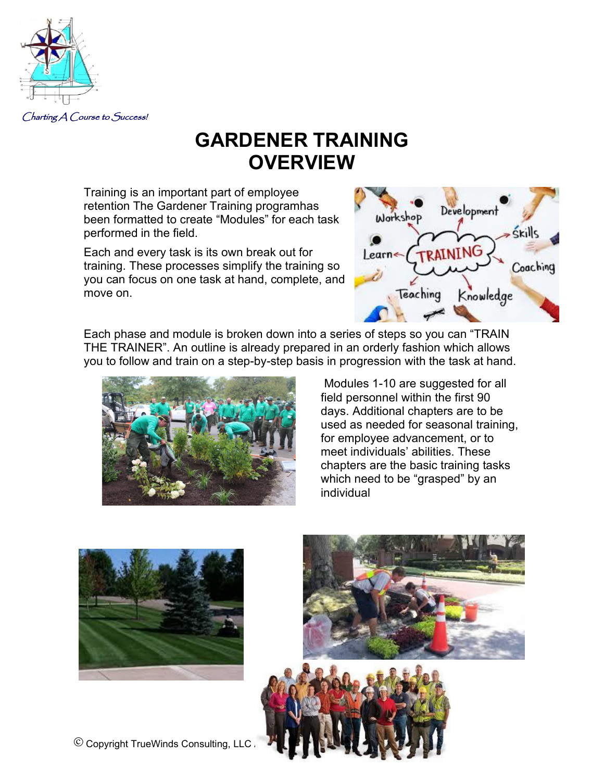

# **GARDENER TRAINING OVERVIEW**

Training is an important part of employee retention The Gardener Training programhas been formatted to create "Modules" for each task performed in the field.

Each and every task is its own break out for training. These processes simplify the training so you can focus on one task at hand, complete, and move on.



Each phase and module is broken down into a series of steps so you can "TRAIN THE TRAINER". An outline is already prepared in an orderly fashion which allows you to follow and train on a step-by-step basis in progression with the task at hand.



Modules 1-10 are suggested for all field personnel within the first 90 days. Additional chapters are to be used as needed for seasonal training, for employee advancement, or to meet individuals' abilities. These chapters are the basic training tasks which need to be "grasped" by an individual





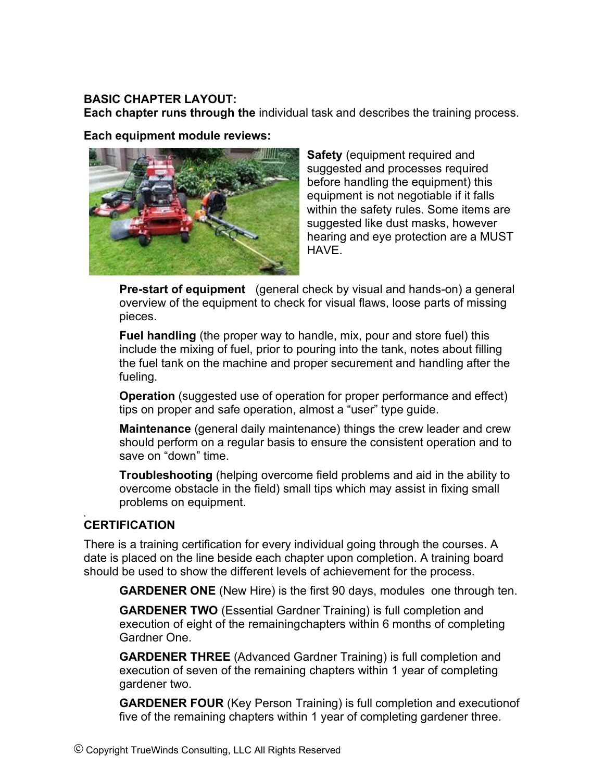#### **BASIC CHAPTER LAYOUT:**

**Each chapter runs through the** individual task and describes the training process.

**Each equipment module reviews:**



**Safety** (equipment required and suggested and processes required before handling the equipment) this equipment is not negotiable if it falls within the safety rules. Some items are suggested like dust masks, however hearing and eye protection are a MUST HAVE.

**Pre-start of equipment** (general check by visual and hands-on) a general overview of the equipment to check for visual flaws, loose parts of missing pieces.

**Fuel handling** (the proper way to handle, mix, pour and store fuel) this include the mixing of fuel, prior to pouring into the tank, notes about filling the fuel tank on the machine and proper securement and handling after the fueling.

**Operation** (suggested use of operation for proper performance and effect) tips on proper and safe operation, almost a "user" type guide.

**Maintenance** (general daily maintenance) things the crew leader and crew should perform on a regular basis to ensure the consistent operation and to save on "down" time.

**Troubleshooting** (helping overcome field problems and aid in the ability to overcome obstacle in the field) small tips which may assist in fixing small problems on equipment.

#### **. CERTIFICATION**

There is a training certification for every individual going through the courses. A date is placed on the line beside each chapter upon completion. A training board should be used to show the different levels of achievement for the process.

**GARDENER ONE** (New Hire) is the first 90 days, modules one through ten.

**GARDENER TWO** (Essential Gardner Training) is full completion and execution of eight of the remainingchapters within 6 months of completing Gardner One.

**GARDENER THREE** (Advanced Gardner Training) is full completion and execution of seven of the remaining chapters within 1 year of completing gardener two.

**GARDENER FOUR** (Key Person Training) is full completion and executionof five of the remaining chapters within 1 year of completing gardener three.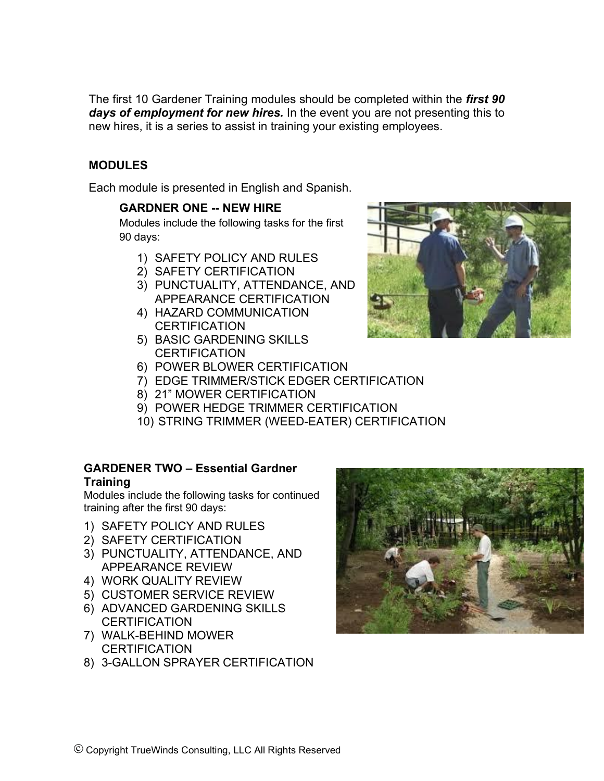The first 10 Gardener Training modules should be completed within the *first 90 days of employment for new hires.* In the event you are not presenting this to new hires, it is a series to assist in training your existing employees.

### **MODULES**

Each module is presented in English and Spanish.

#### **GARDNER ONE -- NEW HIRE**

Modules include the following tasks for the first 90 days:

- 1) SAFETY POLICY AND RULES
- 2) SAFETY CERTIFICATION
- 3) PUNCTUALITY, ATTENDANCE, AND APPEARANCE CERTIFICATION
- 4) HAZARD COMMUNICATION **CERTIFICATION**
- 5) BASIC GARDENING SKILLS **CERTIFICATION**
- 6) POWER BLOWER CERTIFICATION
- 7) EDGE TRIMMER/STICK EDGER CERTIFICATION
- 8) 21" MOWER CERTIFICATION
- 9) POWER HEDGE TRIMMER CERTIFICATION
- 10) STRING TRIMMER (WEED-EATER) CERTIFICATION

#### **GARDENER TWO – Essential Gardner Training**

Modules include the following tasks for continued training after the first 90 days:

- 1) SAFETY POLICY AND RULES
- 2) SAFETY CERTIFICATION
- 3) PUNCTUALITY, ATTENDANCE, AND APPEARANCE REVIEW
- 4) WORK QUALITY REVIEW
- 5) CUSTOMER SERVICE REVIEW
- 6) ADVANCED GARDENING SKILLS **CERTIFICATION**
- 7) WALK-BEHIND MOWER **CERTIFICATION**
- 8) 3-GALLON SPRAYER CERTIFICATION